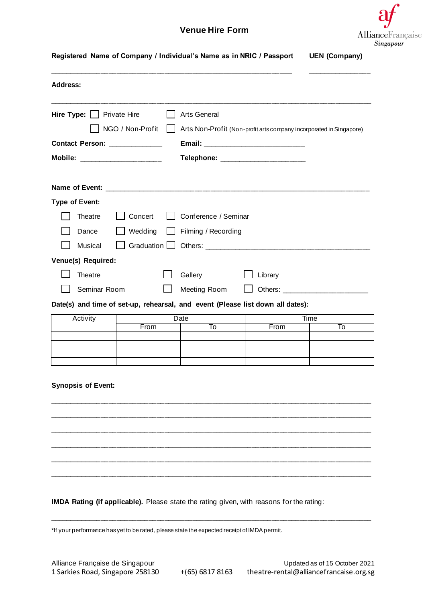## **Venue Hire Form**



| <b>Address:</b>                                                                      |         |                                                                     |                                                                                |                                |
|--------------------------------------------------------------------------------------|---------|---------------------------------------------------------------------|--------------------------------------------------------------------------------|--------------------------------|
|                                                                                      |         |                                                                     |                                                                                |                                |
| Hire Type: $\Box$ Private Hire<br>NGO / Non-Profit<br>Contact Person: ______________ |         | <b>Arts General</b>                                                 |                                                                                |                                |
|                                                                                      |         | Arts Non-Profit (Non-profit arts company incorporated in Singapore) |                                                                                |                                |
|                                                                                      |         |                                                                     |                                                                                |                                |
|                                                                                      |         |                                                                     |                                                                                |                                |
| <b>Type of Event:</b>                                                                |         |                                                                     |                                                                                |                                |
| Theatre                                                                              | Concert | Conference / Seminar                                                |                                                                                |                                |
| Dance                                                                                | Wedding | Filming / Recording                                                 |                                                                                |                                |
| Musical                                                                              |         |                                                                     |                                                                                |                                |
| Venue(s) Required:                                                                   |         |                                                                     |                                                                                |                                |
| Theatre                                                                              |         | Gallery                                                             | Library                                                                        |                                |
| Seminar Room                                                                         |         | Meeting Room                                                        |                                                                                | Others: ______________________ |
|                                                                                      |         |                                                                     | Date(s) and time of set-up, rehearsal, and event (Please list down all dates): |                                |
| Activity                                                                             |         | <b>Date</b>                                                         |                                                                                | Time                           |
|                                                                                      | From    | To                                                                  | From                                                                           | To                             |
|                                                                                      |         |                                                                     |                                                                                |                                |
|                                                                                      |         |                                                                     |                                                                                |                                |
| <b>Synopsis of Event:</b>                                                            |         |                                                                     |                                                                                |                                |
|                                                                                      |         |                                                                     |                                                                                |                                |
|                                                                                      |         |                                                                     |                                                                                |                                |
|                                                                                      |         |                                                                     |                                                                                |                                |
|                                                                                      |         |                                                                     |                                                                                |                                |

\*If your performance has yet to be rated, please state the expected receipt of IMDA permit.

\_\_\_\_\_\_\_\_\_\_\_\_\_\_\_\_\_\_\_\_\_\_\_\_\_\_\_\_\_\_\_\_\_\_\_\_\_\_\_\_\_\_\_\_\_\_\_\_\_\_\_\_\_\_\_\_\_\_\_\_\_\_\_\_\_\_\_\_\_\_\_\_\_\_\_\_\_\_\_\_\_